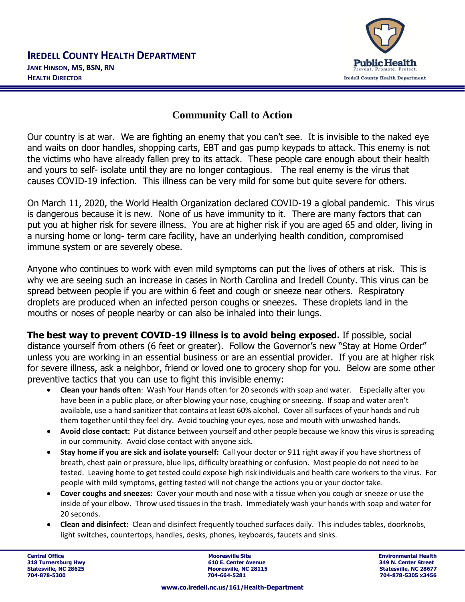

## **Community Call to Action**

Our country is at war. We are fighting an enemy that you can't see. It is invisible to the naked eye and waits on door handles, shopping carts, EBT and gas pump keypads to attack. This enemy is not the victims who have already fallen prey to its attack. These people care enough about their health and yours to self- isolate until they are no longer contagious. The real enemy is the virus that causes COVID-19 infection. This illness can be very mild for some but quite severe for others.

On March 11, 2020, the World Health Organization declared COVID-19 a global pandemic. This virus is dangerous because it is new. None of us have immunity to it. There are many factors that can put you at higher risk for severe illness. You are at higher risk if you are aged 65 and older, living in a nursing home or long- term care facility, have an underlying health condition, compromised immune system or are severely obese.

Anyone who continues to work with even mild symptoms can put the lives of others at risk. This is why we are seeing such an increase in cases in North Carolina and Iredell County. This virus can be spread between people if you are within 6 feet and cough or sneeze near others. Respiratory droplets are produced when an infected person coughs or sneezes. These droplets land in the mouths or noses of people nearby or can also be inhaled into their lungs.

**The best way to prevent COVID-19 illness is to avoid being exposed.** If possible, social distance yourself from others (6 feet or greater). Follow the Governor's new "Stay at Home Order" unless you are working in an essential business or are an essential provider. If you are at higher risk for severe illness, ask a neighbor, friend or loved one to grocery shop for you. Below are some other preventive tactics that you can use to fight this invisible enemy:

- **Clean your hands often**: Wash Your Hands often for 20 seconds with soap and water. Especially after you have been in a public place, or after blowing your nose, coughing or sneezing. If soap and water aren't available, use a hand sanitizer that contains at least 60% alcohol. Cover all surfaces of your hands and rub them together until they feel dry. Avoid touching your eyes, nose and mouth with unwashed hands.
- **Avoid close contact:** Put distance between yourself and other people because we know this virus is spreading in our community. Avoid close contact with anyone sick.
- **Stay home if you are sick and isolate yourself:** Call your doctor or 911 right away if you have shortness of breath, chest pain or pressure, blue lips, difficulty breathing or confusion. Most people do not need to be tested. Leaving home to get tested could expose high risk individuals and health care workers to the virus. For people with mild symptoms, getting tested will not change the actions you or your doctor take.
- **Cover coughs and sneezes:** Cover your mouth and nose with a tissue when you cough or sneeze or use the inside of your elbow. Throw used tissues in the trash. Immediately wash your hands with soap and water for 20 seconds.
- **Clean and disinfect:** Clean and disinfect frequently touched surfaces daily. This includes tables, doorknobs, light switches, countertops, handles, desks, phones, keyboards, faucets and sinks.

**Central Office Mooresville Site Environmental Health 318 Turnersburg Hwy 610 E. Center Avenue 318 Turnersburg Hwy 610 E. Center Avenue 318 Turners Street Avenue 31**<br> **1991 - Street Avenue 31 American Street Avenue 31 American Street Avenue 31 American Street Avenue 31 Ameri 704-878-5300 704-664-5281 704-878-5305 x3456**

**Statesville, NC 28677**